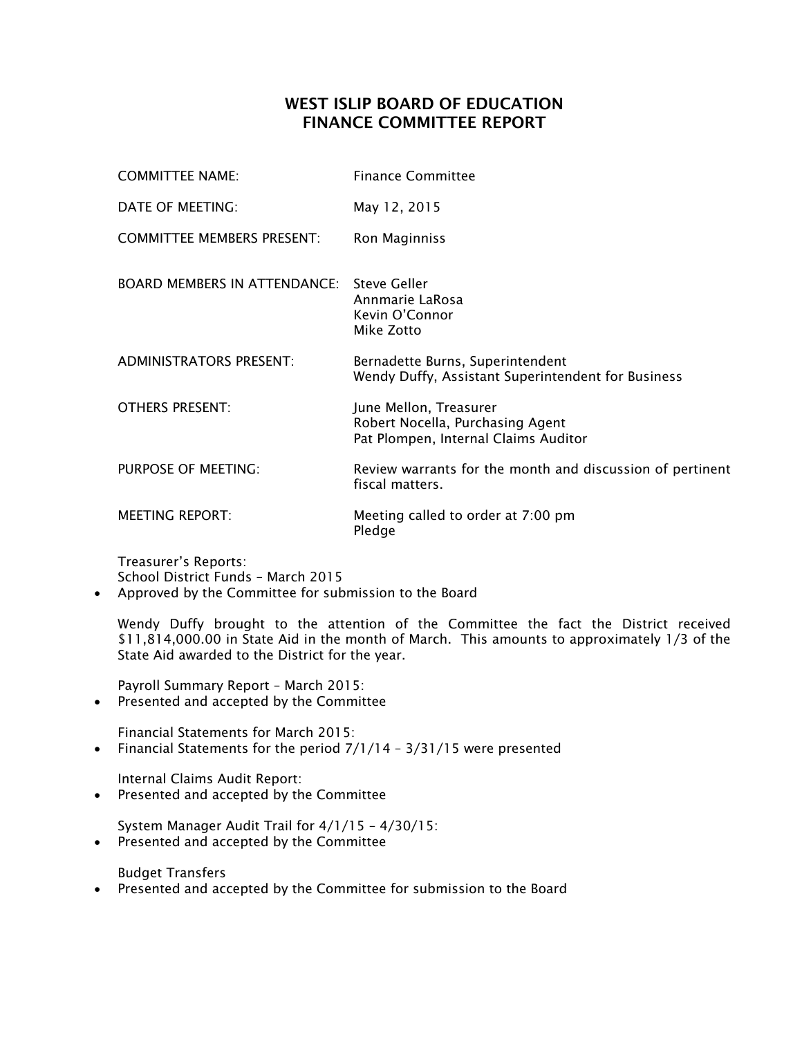## WEST ISLIP BOARD OF EDUCATION FINANCE COMMITTEE REPORT

| <b>COMMITTEE NAME:</b>              | <b>Finance Committee</b>                                                                           |
|-------------------------------------|----------------------------------------------------------------------------------------------------|
| DATE OF MEETING:                    | May 12, 2015                                                                                       |
| <b>COMMITTEE MEMBERS PRESENT:</b>   | Ron Maginniss                                                                                      |
| <b>BOARD MEMBERS IN ATTENDANCE:</b> | Steve Geller<br>Annmarie LaRosa<br>Kevin O'Connor<br>Mike Zotto                                    |
| <b>ADMINISTRATORS PRESENT:</b>      | Bernadette Burns, Superintendent<br>Wendy Duffy, Assistant Superintendent for Business             |
| <b>OTHERS PRESENT:</b>              | June Mellon, Treasurer<br>Robert Nocella, Purchasing Agent<br>Pat Plompen, Internal Claims Auditor |
| PURPOSE OF MEETING:                 | Review warrants for the month and discussion of pertinent<br>fiscal matters.                       |
| <b>MEETING REPORT:</b>              | Meeting called to order at 7:00 pm<br>Pledge                                                       |

Treasurer's Reports: School District Funds – March 2015

Approved by the Committee for submission to the Board

Wendy Duffy brought to the attention of the Committee the fact the District received \$11,814,000.00 in State Aid in the month of March. This amounts to approximately 1/3 of the State Aid awarded to the District for the year.

Payroll Summary Report – March 2015:

Presented and accepted by the Committee

Financial Statements for March 2015:

• Financial Statements for the period  $7/1/14 - 3/31/15$  were presented

Internal Claims Audit Report:

• Presented and accepted by the Committee

System Manager Audit Trail for 4/1/15 – 4/30/15: • Presented and accepted by the Committee

Budget Transfers

Presented and accepted by the Committee for submission to the Board